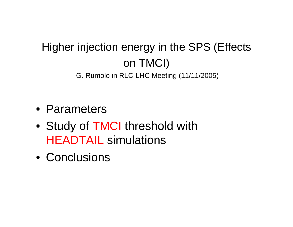## Higher injection energy in the SPS (Effects on TMCI) G. Rumolo in RLC-LHC Meeting (11/11/2005)

- Parameters
- Study of TMCI threshold with HEADTAIL simulations
- Conclusions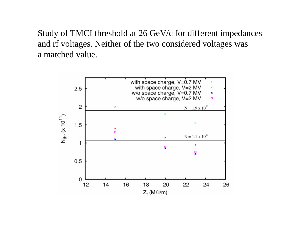Study of TMCI threshold at 26 GeV/c for different impedances and rf voltages. Neither of the two considered voltages was a matched value.

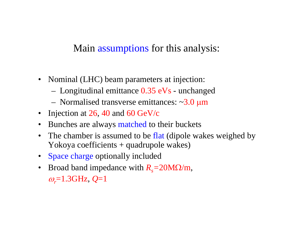## Main assumptions for this analysis:

- Nominal (LHC) beam parameters at injection:
	- Longitudinal emittance 0.35 eVs unchanged
	- –Normalised transverse emittances: ~3.0 µm
- Injection at  $26$ , 40 and  $60$  GeV/c
- •Bunches are always matched to their buckets
- •The chamber is assumed to be flat (dipole wakes weighed by Yokoya coefficients + quadrupole wakes)
- Space charge optionally included
- Broad band impedance with  $R_s = 20 \text{M}\Omega/m$ , <sup>ω</sup>*r*=1.3GHz, *Q*=1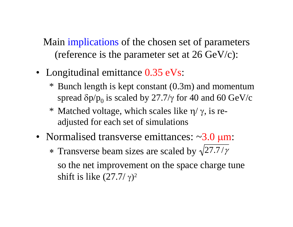Main implications of the chosen set of parameters (reference is the parameter set at 26 GeV/c):

- Longitudinal emittance 0.35 eVs:
	- \* Bunch length is kept constant (0.3m) and momentum spread δp/p $_0$  is scaled by 27.7/γ for 40 and 60 GeV/c
	- \* Matched voltage, which scales like η/ γ, is readjusted for each set of simulations
- Normalised transverse emittances: ~3.0 µm: \* Transverse beam sizes are scaled by  $\sqrt{27.7}/\gamma$ so the net improvement on the space charge tune shift is like  $(27.7/\gamma)^2$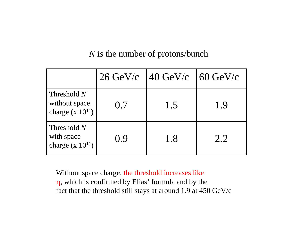## *N* is the number of protons/bunch

|                                                        | $26 \text{ GeV/c}$ | $\frac{140}{\text{GeV/c}}$ 60 GeV/c |     |
|--------------------------------------------------------|--------------------|-------------------------------------|-----|
| Threshold $N$<br>without space<br>charge $(x 10^{11})$ | 0.7                | 1.5                                 | 1.9 |
| Threshold $N$<br>with space<br>charge $(x 10^{11})$    | 0.9                | 1.8                                 | 2.2 |

Without space charge, the threshold increases like η, which is confirmed by Elias' formula and by the fact that the threshold still stays at around 1.9 at 450 GeV/c